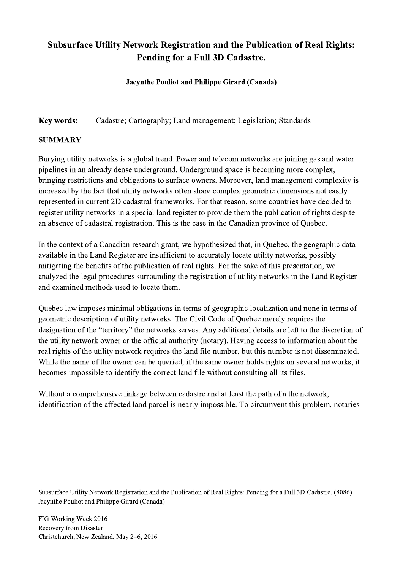## Subsurface Utility Network Registration and the Publication of Real Rights: Pending for a Full 3D Cadastre.

## Jacynthe Pouliot and Philippe Girard (Canada)

Key words: Cadastre; Cartography; Land management; Legislation; Standards

## SUMMARY

Burying utility networks is a global trend. Power and telecom networks are joining gas and water pipelines in an already dense underground. Underground space is becoming more complex, bringing restrictions and obligations to surface owners. Moreover, land management complexity is increased by the fact that utility networks often share complex geometric dimensions not easily represented in current 2D cadastral frameworks. For that reason, some countries have decided to register utility networks in a special land register to provide them the publication of rights despite an absence of cadastral registration. This is the case in the Canadian province of Quebec.

In the context of a Canadian research grant, we hypothesized that, in Quebec, the geographic data available in the Land Register are insufficient to accurately locate utility networks, possibly mitigating the benefits of the publication of real rights. For the sake of this presentation, we analyzed the legal procedures surrounding the registration of utility networks in the Land Register and examined methods used to locate them.

Quebec law imposes minimal obligations in terms of geographic localization and none in terms of geometric description of utility networks. The Civil Code of Quebec merely requires the designation of the "territory" the networks serves. Any additional details are left to the discretion of the utility network owner or the official authority (notary). Having access to information about the real rights of the utility network requires the land file number, but this number is not disseminated. While the name of the owner can be queried, if the same owner holds rights on several networks, it becomes impossible to identify the correct land file without consulting all its files.

Without a comprehensive linkage between cadastre and at least the path of a the network, identification of the affected land parcel is nearly impossible. To circumvent this problem, notaries

Subsurface Utility Network Registration and the Publication of Real Rights: Pending for a Full 3D Cadastre. (8086) Jacynthe Pouliot and Philippe Girard (Canada)

 $\mathcal{L}_\mathcal{L} = \{ \mathcal{L}_\mathcal{L} = \{ \mathcal{L}_\mathcal{L} = \{ \mathcal{L}_\mathcal{L} = \{ \mathcal{L}_\mathcal{L} = \{ \mathcal{L}_\mathcal{L} = \{ \mathcal{L}_\mathcal{L} = \{ \mathcal{L}_\mathcal{L} = \{ \mathcal{L}_\mathcal{L} = \{ \mathcal{L}_\mathcal{L} = \{ \mathcal{L}_\mathcal{L} = \{ \mathcal{L}_\mathcal{L} = \{ \mathcal{L}_\mathcal{L} = \{ \mathcal{L}_\mathcal{L} = \{ \mathcal{L}_\mathcal{$ 

FIG Working Week 2016 Recovery from Disaster Christchurch, New Zealand, May 2–6, 2016